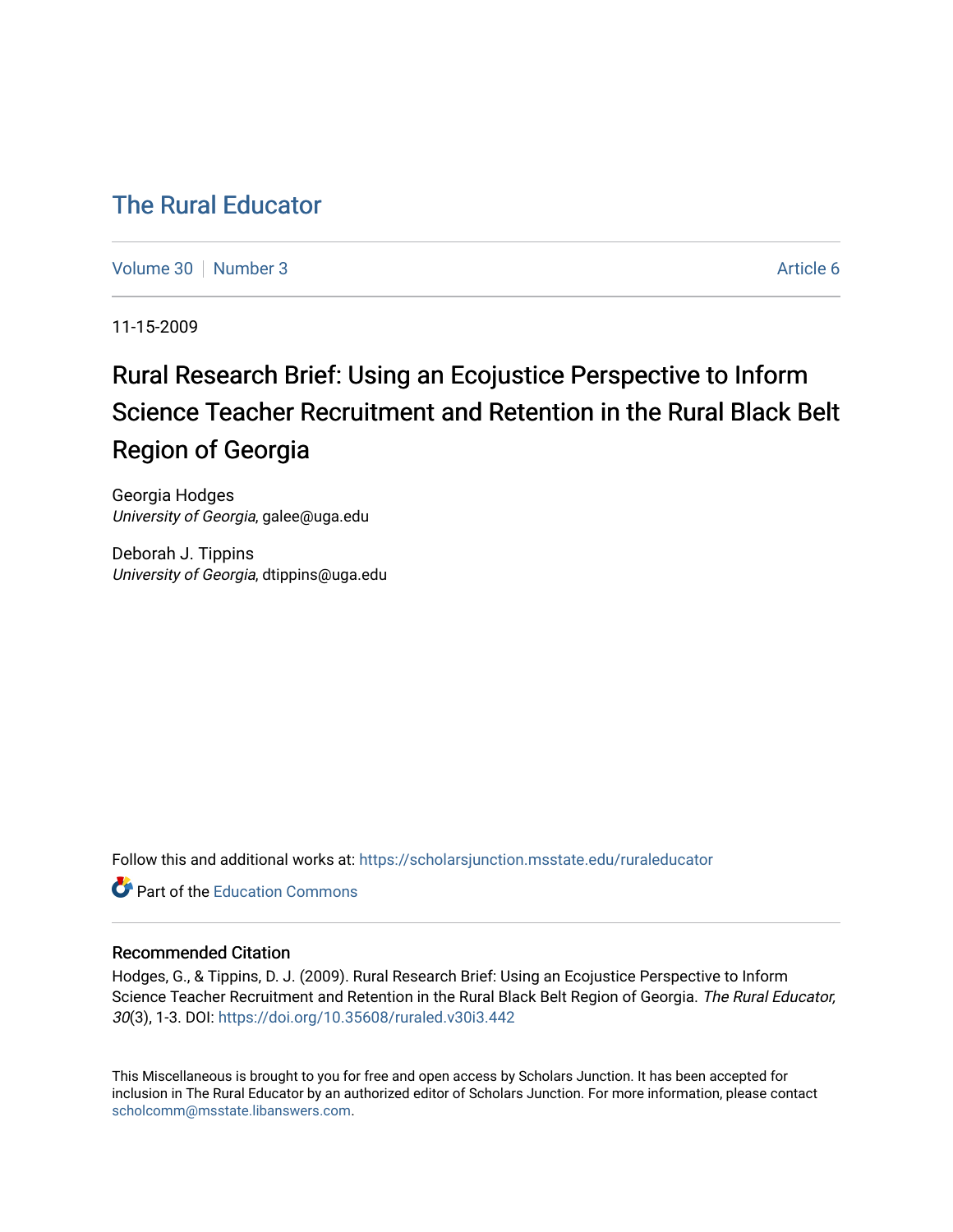# [The Rural Educator](https://scholarsjunction.msstate.edu/ruraleducator)

[Volume 30](https://scholarsjunction.msstate.edu/ruraleducator/vol30) [Number 3](https://scholarsjunction.msstate.edu/ruraleducator/vol30/iss3) Article 6

11-15-2009

# Rural Research Brief: Using an Ecojustice Perspective to Inform Science Teacher Recruitment and Retention in the Rural Black Belt Region of Georgia

Georgia Hodges University of Georgia, galee@uga.edu

Deborah J. Tippins University of Georgia, dtippins@uga.edu

Follow this and additional works at: [https://scholarsjunction.msstate.edu/ruraleducator](https://scholarsjunction.msstate.edu/ruraleducator?utm_source=scholarsjunction.msstate.edu%2Fruraleducator%2Fvol30%2Fiss3%2F6&utm_medium=PDF&utm_campaign=PDFCoverPages)

**C** Part of the [Education Commons](http://network.bepress.com/hgg/discipline/784?utm_source=scholarsjunction.msstate.edu%2Fruraleducator%2Fvol30%2Fiss3%2F6&utm_medium=PDF&utm_campaign=PDFCoverPages)

#### Recommended Citation

Hodges, G., & Tippins, D. J. (2009). Rural Research Brief: Using an Ecojustice Perspective to Inform Science Teacher Recruitment and Retention in the Rural Black Belt Region of Georgia. The Rural Educator, 30(3), 1-3. DOI:<https://doi.org/10.35608/ruraled.v30i3.442>

This Miscellaneous is brought to you for free and open access by Scholars Junction. It has been accepted for inclusion in The Rural Educator by an authorized editor of Scholars Junction. For more information, please contact [scholcomm@msstate.libanswers.com.](mailto:scholcomm@msstate.libanswers.com)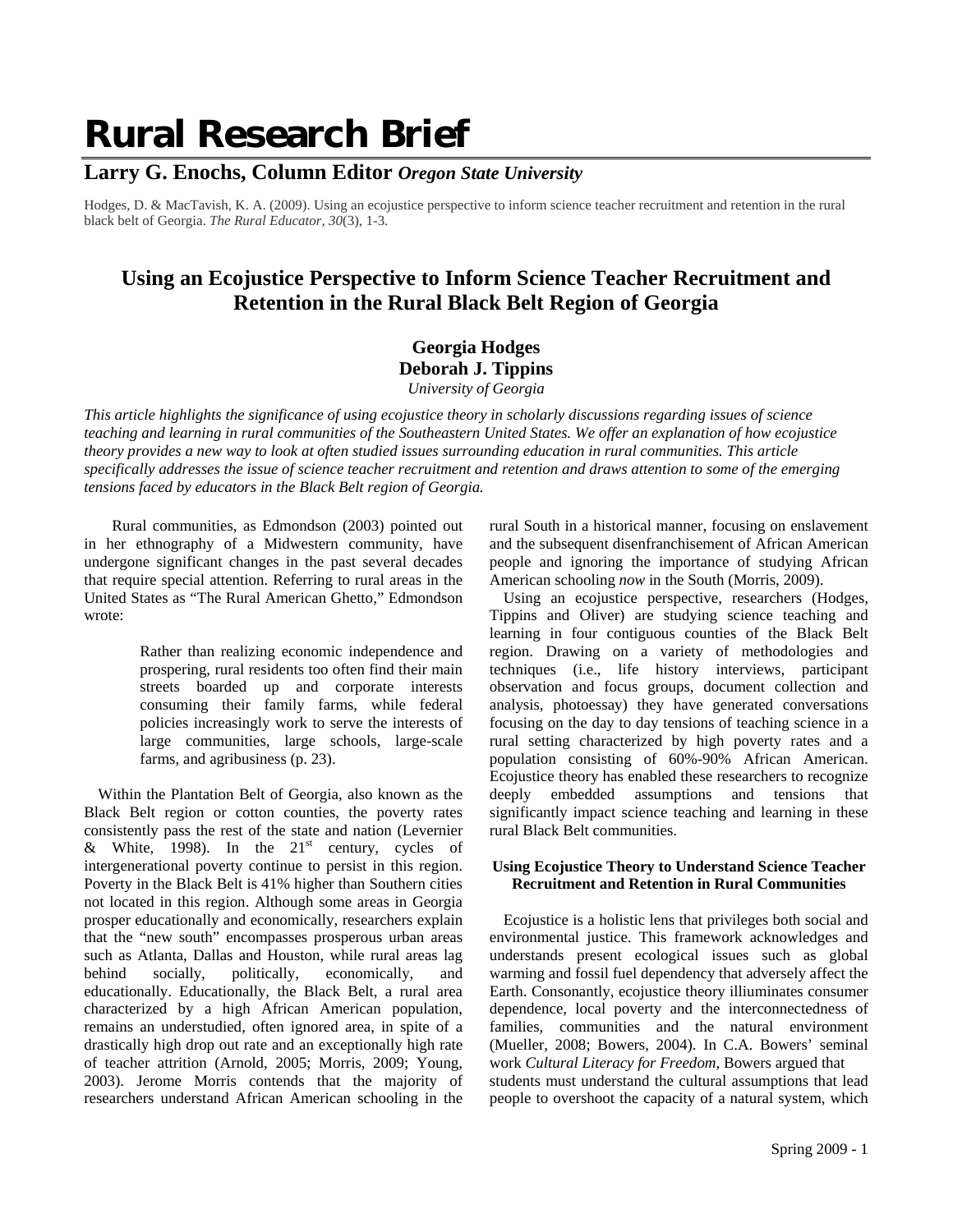# **Rural Research Brief**

### **Larry G. Enochs, Column Editor** *Oregon State University*

Hodges, D. & MacTavish, K. A. (2009). Using an ecojustice perspective to inform science teacher recruitment and retention in the rural black belt of Georgia. *The Rural Educator, 30*(3), 1-3.

## **Using an Ecojustice Perspective to Inform Science Teacher Recruitment and Retention in the Rural Black Belt Region of Georgia**

**Georgia Hodges Deborah J. Tippins**  *University of Georgia*

*This article highlights the significance of using ecojustice theory in scholarly discussions regarding issues of science teaching and learning in rural communities of the Southeastern United States. We offer an explanation of how ecojustice theory provides a new way to look at often studied issues surrounding education in rural communities. This article specifically addresses the issue of science teacher recruitment and retention and draws attention to some of the emerging tensions faced by educators in the Black Belt region of Georgia.*

 Rural communities, as Edmondson (2003) pointed out in her ethnography of a Midwestern community, have undergone significant changes in the past several decades that require special attention. Referring to rural areas in the United States as "The Rural American Ghetto," Edmondson wrote:

> Rather than realizing economic independence and prospering, rural residents too often find their main streets boarded up and corporate interests consuming their family farms, while federal policies increasingly work to serve the interests of large communities, large schools, large-scale farms, and agribusiness (p. 23).

Within the Plantation Belt of Georgia, also known as the Black Belt region or cotton counties, the poverty rates consistently pass the rest of the state and nation (Levernier & White, 1998). In the  $21<sup>st</sup>$  century, cycles of intergenerational poverty continue to persist in this region. Poverty in the Black Belt is 41% higher than Southern cities not located in this region. Although some areas in Georgia prosper educationally and economically, researchers explain that the "new south" encompasses prosperous urban areas such as Atlanta, Dallas and Houston, while rural areas lag behind socially, politically, economically, and educationally. Educationally, the Black Belt, a rural area characterized by a high African American population, remains an understudied, often ignored area, in spite of a drastically high drop out rate and an exceptionally high rate of teacher attrition (Arnold, 2005; Morris, 2009; Young, 2003). Jerome Morris contends that the majority of researchers understand African American schooling in the

rural South in a historical manner, focusing on enslavement and the subsequent disenfranchisement of African American people and ignoring the importance of studying African American schooling *now* in the South (Morris, 2009).

Using an ecojustice perspective, researchers (Hodges, Tippins and Oliver) are studying science teaching and learning in four contiguous counties of the Black Belt region. Drawing on a variety of methodologies and techniques (i.e., life history interviews, participant observation and focus groups, document collection and analysis, photoessay) they have generated conversations focusing on the day to day tensions of teaching science in a rural setting characterized by high poverty rates and a population consisting of 60%-90% African American. Ecojustice theory has enabled these researchers to recognize deeply embedded assumptions and tensions that significantly impact science teaching and learning in these rural Black Belt communities.

#### **Using Ecojustice Theory to Understand Science Teacher Recruitment and Retention in Rural Communities**

Ecojustice is a holistic lens that privileges both social and environmental justice. This framework acknowledges and understands present ecological issues such as global warming and fossil fuel dependency that adversely affect the Earth. Consonantly, ecojustice theory illiuminates consumer dependence, local poverty and the interconnectedness of families, communities and the natural environment (Mueller, 2008; Bowers, 2004). In C.A. Bowers' seminal work *Cultural Literacy for Freedom*, Bowers argued that students must understand the cultural assumptions that lead people to overshoot the capacity of a natural system, which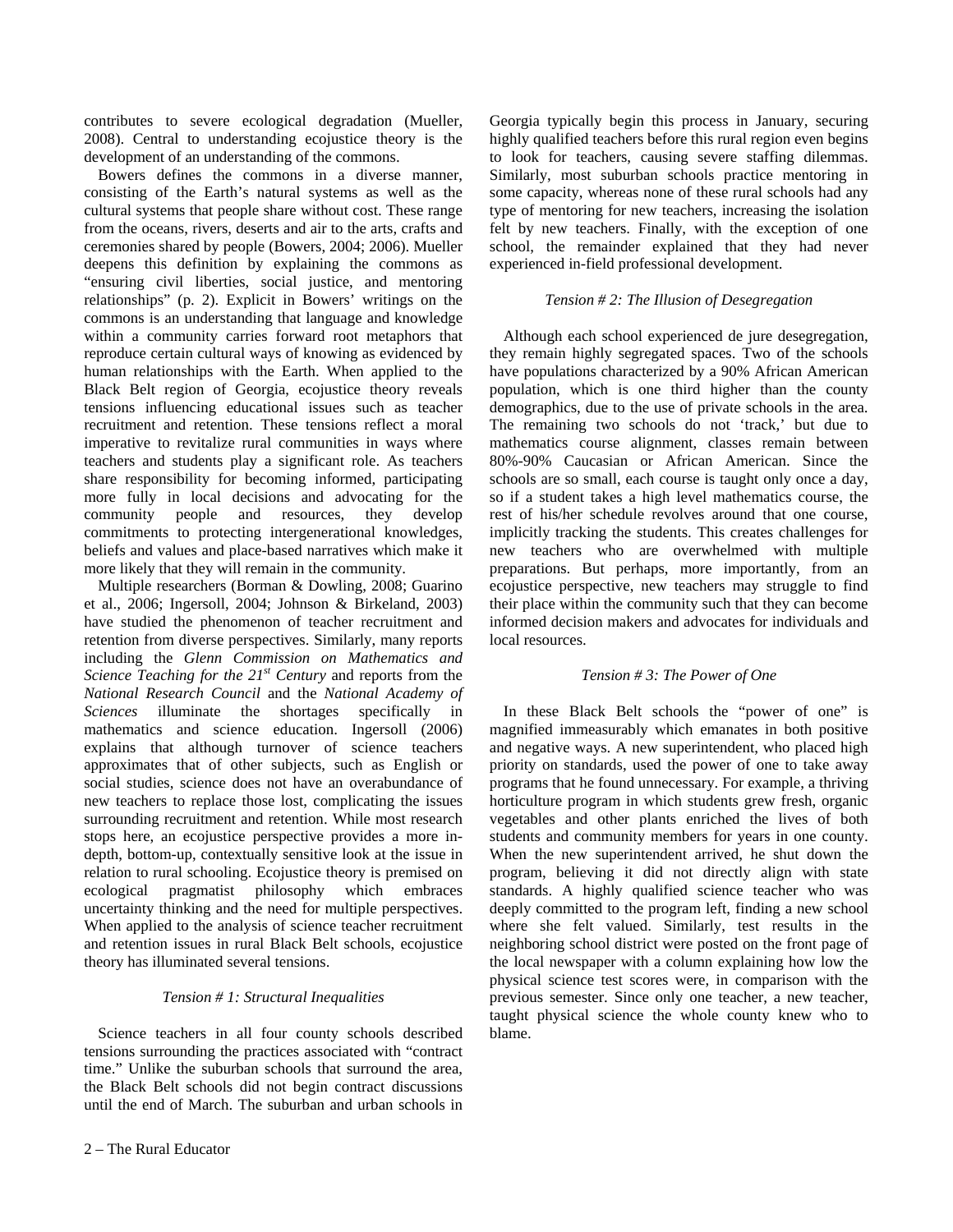contributes to severe ecological degradation (Mueller, 2008). Central to understanding ecojustice theory is the development of an understanding of the commons.

Bowers defines the commons in a diverse manner, consisting of the Earth's natural systems as well as the cultural systems that people share without cost. These range from the oceans, rivers, deserts and air to the arts, crafts and ceremonies shared by people (Bowers, 2004; 2006). Mueller deepens this definition by explaining the commons as "ensuring civil liberties, social justice, and mentoring relationships" (p. 2). Explicit in Bowers' writings on the commons is an understanding that language and knowledge within a community carries forward root metaphors that reproduce certain cultural ways of knowing as evidenced by human relationships with the Earth. When applied to the Black Belt region of Georgia, ecojustice theory reveals tensions influencing educational issues such as teacher recruitment and retention. These tensions reflect a moral imperative to revitalize rural communities in ways where teachers and students play a significant role. As teachers share responsibility for becoming informed, participating more fully in local decisions and advocating for the community people and resources, they develop commitments to protecting intergenerational knowledges, beliefs and values and place-based narratives which make it more likely that they will remain in the community.

Multiple researchers (Borman & Dowling, 2008; Guarino et al., 2006; Ingersoll, 2004; Johnson & Birkeland, 2003) have studied the phenomenon of teacher recruitment and retention from diverse perspectives. Similarly, many reports including the *Glenn Commission on Mathematics and Science Teaching for the 21st Century* and reports from the *National Research Council* and the *National Academy of Sciences* illuminate the shortages specifically in mathematics and science education. Ingersoll (2006) explains that although turnover of science teachers approximates that of other subjects, such as English or social studies, science does not have an overabundance of new teachers to replace those lost, complicating the issues surrounding recruitment and retention. While most research stops here, an ecojustice perspective provides a more indepth, bottom-up, contextually sensitive look at the issue in relation to rural schooling. Ecojustice theory is premised on ecological pragmatist philosophy which embraces uncertainty thinking and the need for multiple perspectives. When applied to the analysis of science teacher recruitment and retention issues in rural Black Belt schools, ecojustice theory has illuminated several tensions.

#### *Tension # 1: Structural Inequalities*

Science teachers in all four county schools described tensions surrounding the practices associated with "contract time." Unlike the suburban schools that surround the area, the Black Belt schools did not begin contract discussions until the end of March. The suburban and urban schools in Georgia typically begin this process in January, securing highly qualified teachers before this rural region even begins to look for teachers, causing severe staffing dilemmas. Similarly, most suburban schools practice mentoring in some capacity, whereas none of these rural schools had any type of mentoring for new teachers, increasing the isolation felt by new teachers. Finally, with the exception of one school, the remainder explained that they had never experienced in-field professional development.

#### *Tension # 2: The Illusion of Desegregation*

Although each school experienced de jure desegregation, they remain highly segregated spaces. Two of the schools have populations characterized by a 90% African American population, which is one third higher than the county demographics, due to the use of private schools in the area. The remaining two schools do not 'track,' but due to mathematics course alignment, classes remain between 80%-90% Caucasian or African American. Since the schools are so small, each course is taught only once a day, so if a student takes a high level mathematics course, the rest of his/her schedule revolves around that one course, implicitly tracking the students. This creates challenges for new teachers who are overwhelmed with multiple preparations. But perhaps, more importantly, from an ecojustice perspective, new teachers may struggle to find their place within the community such that they can become informed decision makers and advocates for individuals and local resources.

#### *Tension # 3: The Power of One*

In these Black Belt schools the "power of one" is magnified immeasurably which emanates in both positive and negative ways. A new superintendent, who placed high priority on standards, used the power of one to take away programs that he found unnecessary. For example, a thriving horticulture program in which students grew fresh, organic vegetables and other plants enriched the lives of both students and community members for years in one county. When the new superintendent arrived, he shut down the program, believing it did not directly align with state standards. A highly qualified science teacher who was deeply committed to the program left, finding a new school where she felt valued. Similarly, test results in the neighboring school district were posted on the front page of the local newspaper with a column explaining how low the physical science test scores were, in comparison with the previous semester. Since only one teacher, a new teacher, taught physical science the whole county knew who to blame.